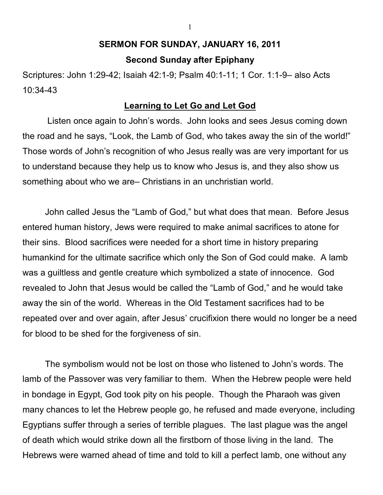## **SERMON FOR SUNDAY, JANUARY 16, 2011 Second Sunday after Epiphany**

Scriptures: John 1:29-42; Isaiah 42:1-9; Psalm 40:1-11; 1 Cor. 1:1-9– also Acts 10:34-43

## **Learning to Let Go and Let God**

 Listen once again to John's words. John looks and sees Jesus coming down the road and he says, "Look, the Lamb of God, who takes away the sin of the world!" Those words of John's recognition of who Jesus really was are very important for us to understand because they help us to know who Jesus is, and they also show us something about who we are– Christians in an unchristian world.

John called Jesus the "Lamb of God," but what does that mean. Before Jesus entered human history, Jews were required to make animal sacrifices to atone for their sins. Blood sacrifices were needed for a short time in history preparing humankind for the ultimate sacrifice which only the Son of God could make. A lamb was a guiltless and gentle creature which symbolized a state of innocence. God revealed to John that Jesus would be called the "Lamb of God," and he would take away the sin of the world. Whereas in the Old Testament sacrifices had to be repeated over and over again, after Jesus' crucifixion there would no longer be a need for blood to be shed for the forgiveness of sin.

The symbolism would not be lost on those who listened to John's words. The lamb of the Passover was very familiar to them. When the Hebrew people were held in bondage in Egypt, God took pity on his people. Though the Pharaoh was given many chances to let the Hebrew people go, he refused and made everyone, including Egyptians suffer through a series of terrible plagues. The last plague was the angel of death which would strike down all the firstborn of those living in the land. The Hebrews were warned ahead of time and told to kill a perfect lamb, one without any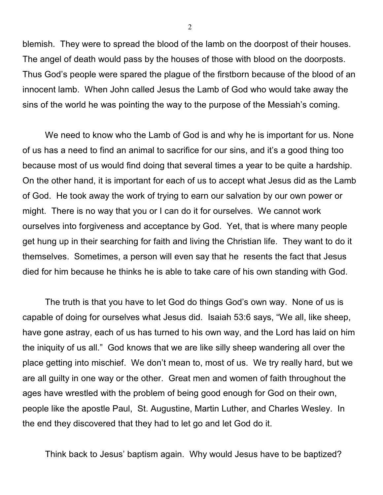blemish. They were to spread the blood of the lamb on the doorpost of their houses. The angel of death would pass by the houses of those with blood on the doorposts. Thus God's people were spared the plague of the firstborn because of the blood of an innocent lamb. When John called Jesus the Lamb of God who would take away the sins of the world he was pointing the way to the purpose of the Messiah's coming.

We need to know who the Lamb of God is and why he is important for us. None of us has a need to find an animal to sacrifice for our sins, and it's a good thing too because most of us would find doing that several times a year to be quite a hardship. On the other hand, it is important for each of us to accept what Jesus did as the Lamb of God. He took away the work of trying to earn our salvation by our own power or might. There is no way that you or I can do it for ourselves. We cannot work ourselves into forgiveness and acceptance by God. Yet, that is where many people get hung up in their searching for faith and living the Christian life. They want to do it themselves. Sometimes, a person will even say that he resents the fact that Jesus died for him because he thinks he is able to take care of his own standing with God.

The truth is that you have to let God do things God's own way. None of us is capable of doing for ourselves what Jesus did. Isaiah 53:6 says, "We all, like sheep, have gone astray, each of us has turned to his own way, and the Lord has laid on him the iniquity of us all." God knows that we are like silly sheep wandering all over the place getting into mischief. We don't mean to, most of us. We try really hard, but we are all guilty in one way or the other. Great men and women of faith throughout the ages have wrestled with the problem of being good enough for God on their own, people like the apostle Paul, St. Augustine, Martin Luther, and Charles Wesley. In the end they discovered that they had to let go and let God do it.

Think back to Jesus' baptism again. Why would Jesus have to be baptized?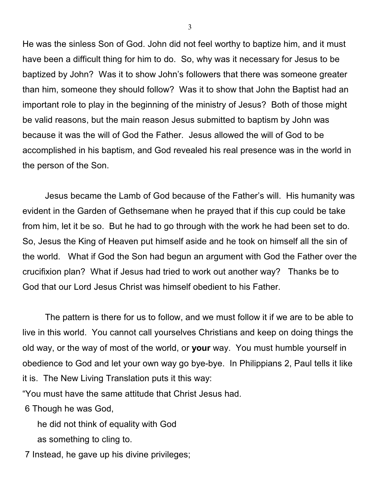He was the sinless Son of God. John did not feel worthy to baptize him, and it must have been a difficult thing for him to do. So, why was it necessary for Jesus to be baptized by John? Was it to show John's followers that there was someone greater than him, someone they should follow? Was it to show that John the Baptist had an important role to play in the beginning of the ministry of Jesus? Both of those might be valid reasons, but the main reason Jesus submitted to baptism by John was because it was the will of God the Father. Jesus allowed the will of God to be accomplished in his baptism, and God revealed his real presence was in the world in the person of the Son.

Jesus became the Lamb of God because of the Father's will. His humanity was evident in the Garden of Gethsemane when he prayed that if this cup could be take from him, let it be so. But he had to go through with the work he had been set to do. So, Jesus the King of Heaven put himself aside and he took on himself all the sin of the world. What if God the Son had begun an argument with God the Father over the crucifixion plan? What if Jesus had tried to work out another way? Thanks be to God that our Lord Jesus Christ was himself obedient to his Father.

The pattern is there for us to follow, and we must follow it if we are to be able to live in this world. You cannot call yourselves Christians and keep on doing things the old way, or the way of most of the world, or **your** way. You must humble yourself in obedience to God and let your own way go bye-bye. In Philippians 2, Paul tells it like it is. The New Living Translation puts it this way:

"You must have the same attitude that Christ Jesus had.

6 Though he was God,

he did not think of equality with God

as something to cling to.

7 Instead, he gave up his divine privileges;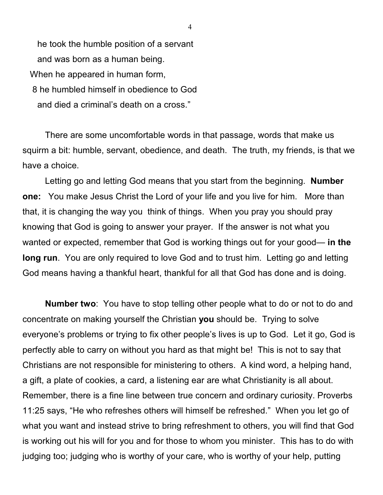he took the humble position of a servant and was born as a human being. When he appeared in human form, 8 he humbled himself in obedience to God and died a criminal's death on a cross."

There are some uncomfortable words in that passage, words that make us squirm a bit: humble, servant, obedience, and death. The truth, my friends, is that we have a choice.

Letting go and letting God means that you start from the beginning. **Number one:** You make Jesus Christ the Lord of your life and you live for him. More than that, it is changing the way you think of things. When you pray you should pray knowing that God is going to answer your prayer. If the answer is not what you wanted or expected, remember that God is working things out for your good— in the **long run**. You are only required to love God and to trust him. Letting go and letting God means having a thankful heart, thankful for all that God has done and is doing.

**Number two**: You have to stop telling other people what to do or not to do and concentrate on making yourself the Christian **you** should be. Trying to solve everyone's problems or trying to fix other people's lives is up to God. Let it go, God is perfectly able to carry on without you hard as that might be! This is not to say that Christians are not responsible for ministering to others. A kind word, a helping hand, a gift, a plate of cookies, a card, a listening ear are what Christianity is all about. Remember, there is a fine line between true concern and ordinary curiosity. Proverbs 11:25 says, "He who refreshes others will himself be refreshed." When you let go of what you want and instead strive to bring refreshment to others, you will find that God is working out his will for you and for those to whom you minister. This has to do with judging too; judging who is worthy of your care, who is worthy of your help, putting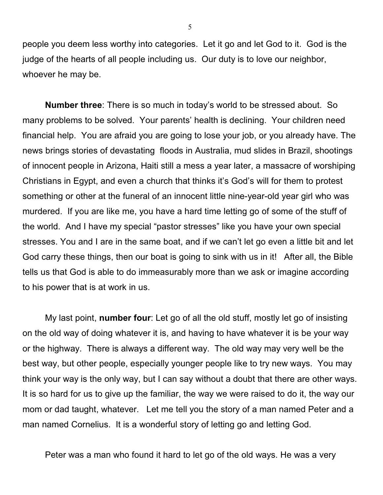people you deem less worthy into categories. Let it go and let God to it. God is the judge of the hearts of all people including us. Our duty is to love our neighbor, whoever he may be.

**Number three**: There is so much in today's world to be stressed about. So many problems to be solved. Your parents' health is declining. Your children need financial help. You are afraid you are going to lose your job, or you already have. The news brings stories of devastating floods in Australia, mud slides in Brazil, shootings of innocent people in Arizona, Haiti still a mess a year later, a massacre of worshiping Christians in Egypt, and even a church that thinks it's God's will for them to protest something or other at the funeral of an innocent little nine-year-old year girl who was murdered. If you are like me, you have a hard time letting go of some of the stuff of the world. And I have my special "pastor stresses" like you have your own special stresses. You and I are in the same boat, and if we can't let go even a little bit and let God carry these things, then our boat is going to sink with us in it! After all, the Bible tells us that God is able to do immeasurably more than we ask or imagine according to his power that is at work in us.

My last point, **number four**: Let go of all the old stuff, mostly let go of insisting on the old way of doing whatever it is, and having to have whatever it is be your way or the highway. There is always a different way. The old way may very well be the best way, but other people, especially younger people like to try new ways. You may think your way is the only way, but I can say without a doubt that there are other ways. It is so hard for us to give up the familiar, the way we were raised to do it, the way our mom or dad taught, whatever. Let me tell you the story of a man named Peter and a man named Cornelius. It is a wonderful story of letting go and letting God.

Peter was a man who found it hard to let go of the old ways. He was a very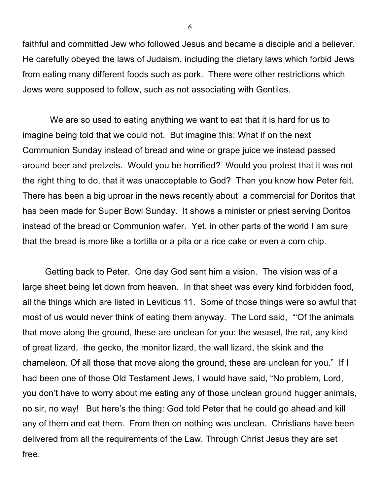faithful and committed Jew who followed Jesus and became a disciple and a believer. He carefully obeyed the laws of Judaism, including the dietary laws which forbid Jews from eating many different foods such as pork. There were other restrictions which Jews were supposed to follow, such as not associating with Gentiles.

 We are so used to eating anything we want to eat that it is hard for us to imagine being told that we could not. But imagine this: What if on the next Communion Sunday instead of bread and wine or grape juice we instead passed around beer and pretzels. Would you be horrified? Would you protest that it was not the right thing to do, that it was unacceptable to God? Then you know how Peter felt. There has been a big uproar in the news recently about a commercial for Doritos that has been made for Super Bowl Sunday. It shows a minister or priest serving Doritos instead of the bread or Communion wafer. Yet, in other parts of the world I am sure that the bread is more like a tortilla or a pita or a rice cake or even a corn chip.

Getting back to Peter. One day God sent him a vision. The vision was of a large sheet being let down from heaven. In that sheet was every kind forbidden food, all the things which are listed in Leviticus 11. Some of those things were so awful that most of us would never think of eating them anyway. The Lord said, "'Of the animals that move along the ground, these are unclean for you: the weasel, the rat, any kind of great lizard, the gecko, the monitor lizard, the wall lizard, the skink and the chameleon. Of all those that move along the ground, these are unclean for you." If I had been one of those Old Testament Jews, I would have said, "No problem, Lord, you don't have to worry about me eating any of those unclean ground hugger animals, no sir, no way! But here's the thing: God told Peter that he could go ahead and kill any of them and eat them. From then on nothing was unclean. Christians have been delivered from all the requirements of the Law. Through Christ Jesus they are set free.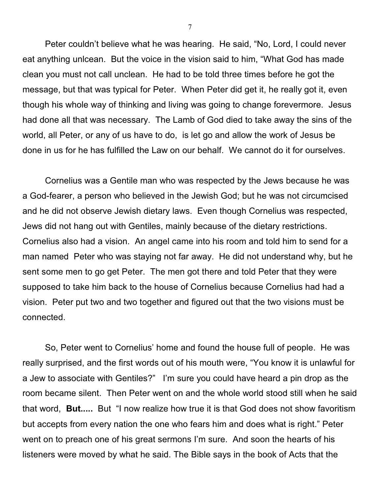Peter couldn't believe what he was hearing. He said, "No, Lord, I could never eat anything unlcean. But the voice in the vision said to him, "What God has made clean you must not call unclean. He had to be told three times before he got the message, but that was typical for Peter. When Peter did get it, he really got it, even though his whole way of thinking and living was going to change forevermore. Jesus had done all that was necessary. The Lamb of God died to take away the sins of the world, all Peter, or any of us have to do, is let go and allow the work of Jesus be done in us for he has fulfilled the Law on our behalf. We cannot do it for ourselves.

Cornelius was a Gentile man who was respected by the Jews because he was a God-fearer, a person who believed in the Jewish God; but he was not circumcised and he did not observe Jewish dietary laws. Even though Cornelius was respected, Jews did not hang out with Gentiles, mainly because of the dietary restrictions. Cornelius also had a vision. An angel came into his room and told him to send for a man named Peter who was staying not far away. He did not understand why, but he sent some men to go get Peter. The men got there and told Peter that they were supposed to take him back to the house of Cornelius because Cornelius had had a vision. Peter put two and two together and figured out that the two visions must be connected.

So, Peter went to Cornelius' home and found the house full of people. He was really surprised, and the first words out of his mouth were, "You know it is unlawful for a Jew to associate with Gentiles?" I'm sure you could have heard a pin drop as the room became silent. Then Peter went on and the whole world stood still when he said that word, **But.....** But "I now realize how true it is that God does not show favoritism but accepts from every nation the one who fears him and does what is right." Peter went on to preach one of his great sermons I'm sure. And soon the hearts of his listeners were moved by what he said. The Bible says in the book of Acts that the